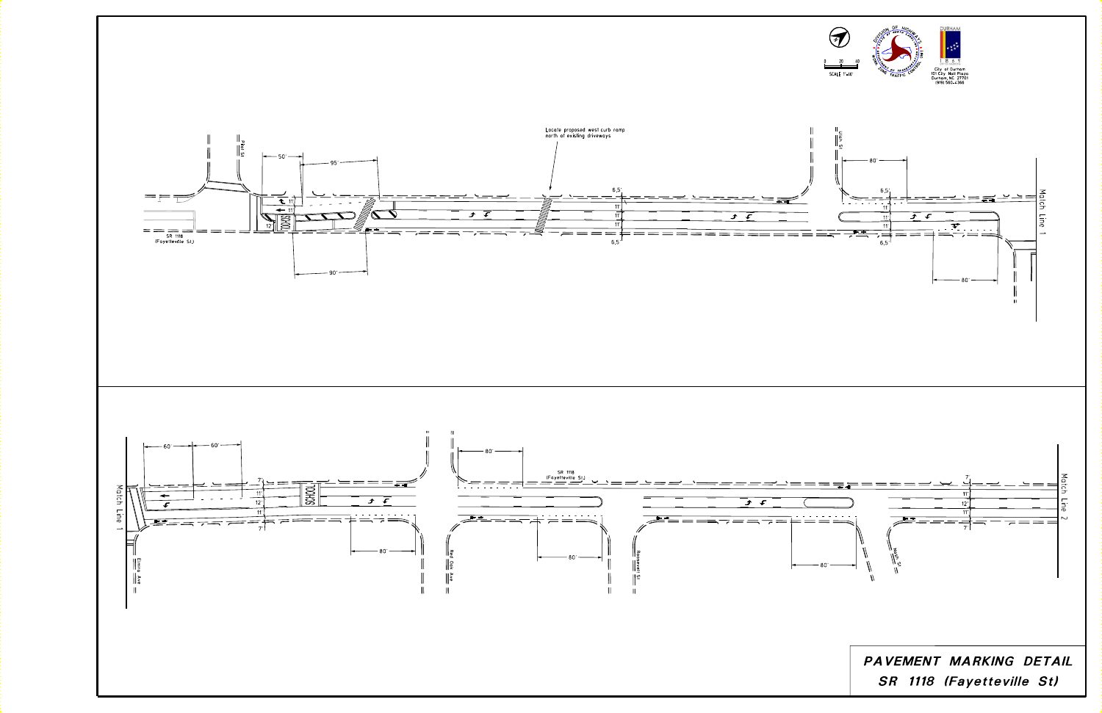